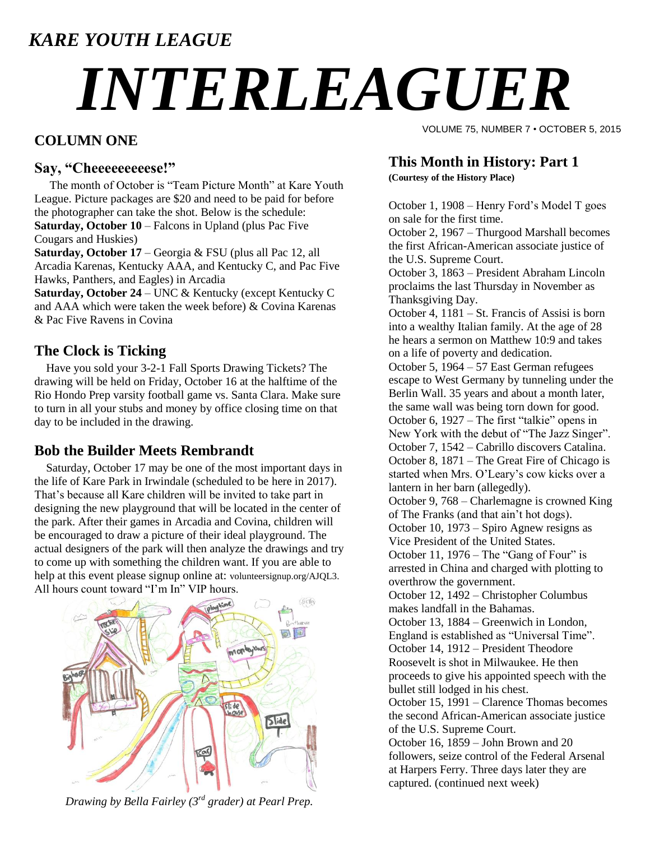### *KARE YOUTH LEAGUE*

# *INTERLEAGUER*

#### **COLUMN ONE**

#### **Say, "Cheeeeeeeeese!"**

The month of October is "Team Picture Month" at Kare Youth League. Picture packages are \$20 and need to be paid for before the photographer can take the shot. Below is the schedule: **Saturday, October 10** – Falcons in Upland (plus Pac Five Cougars and Huskies)

**Saturday, October 17** – Georgia & FSU (plus all Pac 12, all Arcadia Karenas, Kentucky AAA, and Kentucky C, and Pac Five Hawks, Panthers, and Eagles) in Arcadia

**Saturday, October 24** – UNC & Kentucky (except Kentucky C and AAA which were taken the week before) & Covina Karenas & Pac Five Ravens in Covina

#### **The Clock is Ticking**

 Have you sold your 3-2-1 Fall Sports Drawing Tickets? The drawing will be held on Friday, October 16 at the halftime of the Rio Hondo Prep varsity football game vs. Santa Clara. Make sure to turn in all your stubs and money by office closing time on that day to be included in the drawing.

#### **Bob the Builder Meets Rembrandt**

 Saturday, October 17 may be one of the most important days in the life of Kare Park in Irwindale (scheduled to be here in 2017). That's because all Kare children will be invited to take part in designing the new playground that will be located in the center of the park. After their games in Arcadia and Covina, children will be encouraged to draw a picture of their ideal playground. The actual designers of the park will then analyze the drawings and try to come up with something the children want. If you are able to help at this event please signup online at: [volunteersignup.org/AJQL3.](http://www.volunteersignup.org/AJQL3) All hours count toward "I'm In" VIP hours.



*Drawing by Bella Fairley (3rd grader) at Pearl Prep.*

VOLUME 75, NUMBER 7 • OCTOBER 5, 2015

#### **This Month in History: Part 1**

**(Courtesy of the History Place)**

October 1, 1908 – Henry Ford's Model T goes on sale for the first time.

October 2, 1967 – Thurgood Marshall becomes the first African-American associate justice of the U.S. Supreme Court.

October 3, 1863 – President Abraham Lincoln proclaims the last Thursday in November as Thanksgiving Day.

October 4, 1181 – St. Francis of Assisi is born into a wealthy Italian family. At the age of 28 he hears a sermon on Matthew 10:9 and takes on a life of poverty and dedication.

October 5, 1964 – 57 East German refugees escape to West Germany by tunneling under the Berlin Wall. 35 years and about a month later, the same wall was being torn down for good. October 6, 1927 – The first "talkie" opens in New York with the debut of "The Jazz Singer". October 7, 1542 – Cabrillo discovers Catalina. October 8, 1871 – The Great Fire of Chicago is started when Mrs. O'Leary's cow kicks over a

lantern in her barn (allegedly). October 9, 768 – Charlemagne is crowned King

of The Franks (and that ain't hot dogs). October 10, 1973 – Spiro Agnew resigns as Vice President of the United States.

October 11, 1976 – The "Gang of Four" is arrested in China and charged with plotting to overthrow the government.

October 12, 1492 – Christopher Columbus makes landfall in the Bahamas.

October 13, 1884 – Greenwich in London, England is established as "Universal Time". October 14, 1912 – President Theodore Roosevelt is shot in Milwaukee. He then proceeds to give his appointed speech with the

bullet still lodged in his chest. October 15, 1991 – Clarence Thomas becomes

the second African-American associate justice of the U.S. Supreme Court.

October 16, 1859 – John Brown and 20 followers, seize control of the Federal Arsenal at Harpers Ferry. Three days later they are captured. (continued next week)